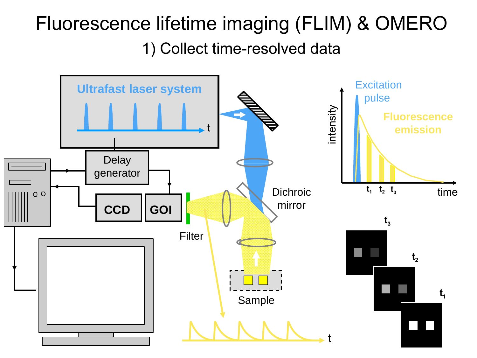## Fluorescence lifetime imaging (FLIM) & OMERO 1) Collect time-resolved data

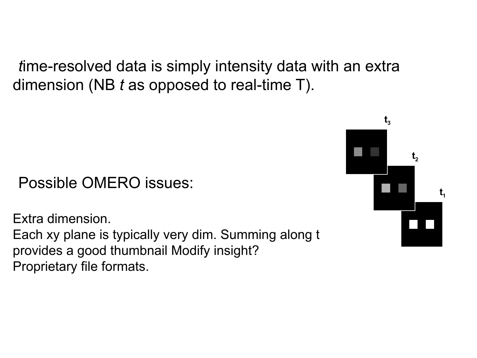*t*ime-resolved data is simply intensity data with an extra dimension (NB *t* as opposed to real-time T).

#### Possible OMERO issues:

Extra dimension. Each xy plane is typically very dim. Summing along t provides a good thumbnail Modify insight? Proprietary file formats.

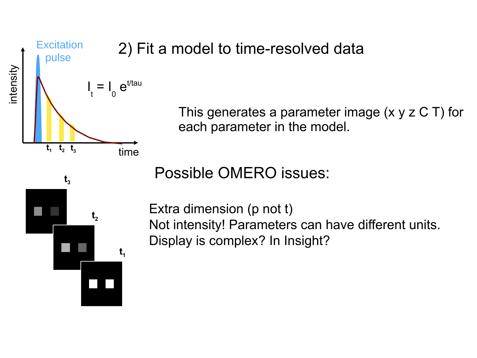

#### 2) Fit a model to time-resolved data

This generates a parameter image  $(x \ y \ z \ C \ T)$  for each parameter in the model.

**t 3 t 2 t 1** Possible OMERO issues:

Extra dimension (p not t) Not intensity! Parameters can have different units. Display is complex? In Insight?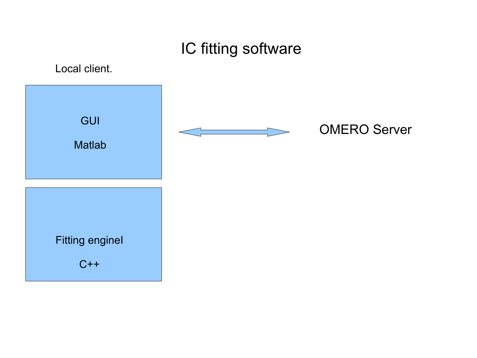#### IC fitting software

Local client.

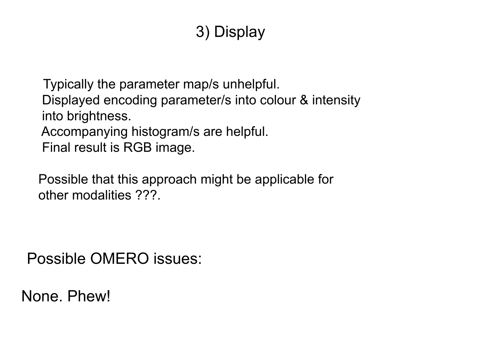### 3) Display

Typically the parameter map/s unhelpful. Displayed encoding parameter/s into colour & intensity into brightness. Accompanying histogram/s are helpful. Final result is RGB image.

Possible that this approach might be applicable for other modalities ???.

Possible OMERO issues:

None. Phew!